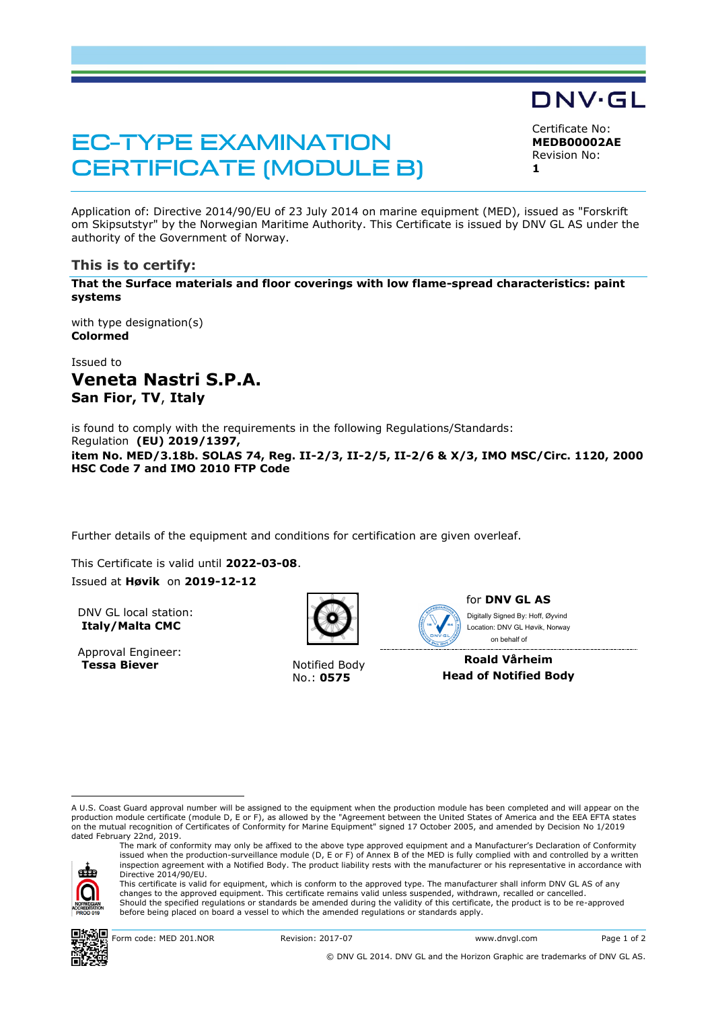# **EC-TYPE EXAMINATION CERTIFICATE (MODULE B)**

DNV·GL

Certificate No: **MEDB00002AE** Revision No: **1**

Application of: Directive 2014/90/EU of 23 July 2014 on marine equipment (MED), issued as "Forskrift om Skipsutstyr" by the Norwegian Maritime Authority. This Certificate is issued by DNV GL AS under the authority of the Government of Norway.

## **This is to certify:**

**That the Surface materials and floor coverings with low flame-spread characteristics: paint systems**

with type designation(s) **Colormed**

Issued to **Veneta Nastri S.P.A. San Fior, TV**, **Italy**

is found to comply with the requirements in the following Regulations/Standards: Regulation **(EU) 2019/1397, item No. MED/3.18b. SOLAS 74, Reg. II-2/3, II-2/5, II-2/6 & X/3, IMO MSC/Circ. 1120, 2000 HSC Code 7 and IMO 2010 FTP Code**

Further details of the equipment and conditions for certification are given overleaf.

This Certificate is valid until **2022-03-08**.

Issued at **Høvik** on **2019-12-12**

DNV GL local station: **Italy/Malta CMC**

Approval Engineer: **Tessa Biever** Notified Body



No.: **0575**



for **DNV GL AS** on behalf ofDigitally Signed By: Hoff, Øyvind Location: DNV GL Høvik, Norway

**Roald Vårheim Head of Notified Body**

A U.S. Coast Guard approval number will be assigned to the equipment when the production module has been completed and will appear on the production module certificate (module D, E or F), as allowed by the "Agreement between the United States of America and the EEA EFTA states on the mutual recognition of Certificates of Conformity for Marine Equipment" signed 17 October 2005, and amended by Decision No 1/2019 dated February 22nd, 2019.



ı

The mark of conformity may only be affixed to the above type approved equipment and a Manufacturer's Declaration of Conformity<br>issued when the production-surveillance module (D, E or F) of Annex B of the MED is fully compl inspection agreement with a Notified Body. The product liability rests with the manufacturer or his representative in accordance with Directive 2014/90/EU. This certificate is valid for equipment, which is conform to the approved type. The manufacturer shall inform DNV GL AS of any

changes to the approved equipment. This certificate remains valid unless suspended, withdrawn, recalled or cancelled. Should the specified regulations or standards be amended during the validity of this certificate, the product is to be re-approved before being placed on board a vessel to which the amended regulations or standards apply.